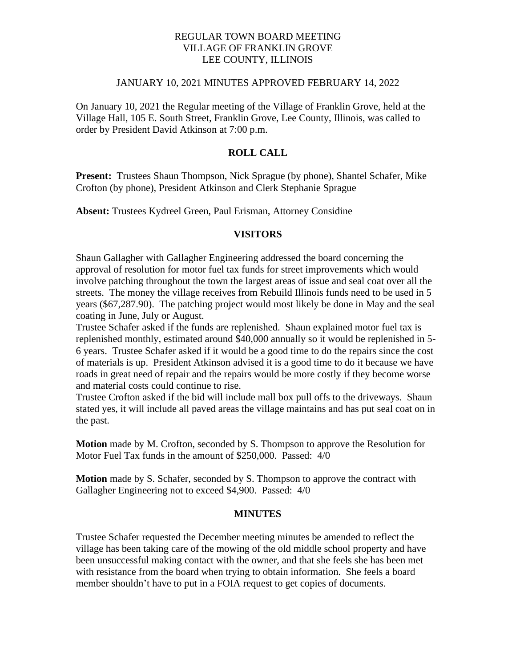## REGULAR TOWN BOARD MEETING VILLAGE OF FRANKLIN GROVE LEE COUNTY, ILLINOIS

#### JANUARY 10, 2021 MINUTES APPROVED FEBRUARY 14, 2022

On January 10, 2021 the Regular meeting of the Village of Franklin Grove, held at the Village Hall, 105 E. South Street, Franklin Grove, Lee County, Illinois, was called to order by President David Atkinson at 7:00 p.m.

## **ROLL CALL**

**Present:** Trustees Shaun Thompson, Nick Sprague (by phone), Shantel Schafer, Mike Crofton (by phone), President Atkinson and Clerk Stephanie Sprague

**Absent:** Trustees Kydreel Green, Paul Erisman, Attorney Considine

#### **VISITORS**

Shaun Gallagher with Gallagher Engineering addressed the board concerning the approval of resolution for motor fuel tax funds for street improvements which would involve patching throughout the town the largest areas of issue and seal coat over all the streets. The money the village receives from Rebuild Illinois funds need to be used in 5 years (\$67,287.90). The patching project would most likely be done in May and the seal coating in June, July or August.

Trustee Schafer asked if the funds are replenished. Shaun explained motor fuel tax is replenished monthly, estimated around \$40,000 annually so it would be replenished in 5- 6 years. Trustee Schafer asked if it would be a good time to do the repairs since the cost of materials is up. President Atkinson advised it is a good time to do it because we have roads in great need of repair and the repairs would be more costly if they become worse and material costs could continue to rise.

Trustee Crofton asked if the bid will include mall box pull offs to the driveways. Shaun stated yes, it will include all paved areas the village maintains and has put seal coat on in the past.

**Motion** made by M. Crofton, seconded by S. Thompson to approve the Resolution for Motor Fuel Tax funds in the amount of \$250,000. Passed: 4/0

**Motion** made by S. Schafer, seconded by S. Thompson to approve the contract with Gallagher Engineering not to exceed \$4,900. Passed: 4/0

#### **MINUTES**

Trustee Schafer requested the December meeting minutes be amended to reflect the village has been taking care of the mowing of the old middle school property and have been unsuccessful making contact with the owner, and that she feels she has been met with resistance from the board when trying to obtain information. She feels a board member shouldn't have to put in a FOIA request to get copies of documents.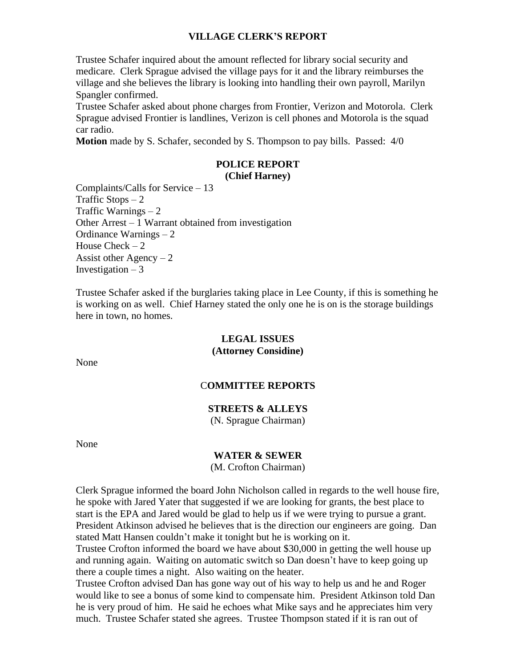## **VILLAGE CLERK'S REPORT**

Trustee Schafer inquired about the amount reflected for library social security and medicare. Clerk Sprague advised the village pays for it and the library reimburses the village and she believes the library is looking into handling their own payroll, Marilyn Spangler confirmed.

Trustee Schafer asked about phone charges from Frontier, Verizon and Motorola. Clerk Sprague advised Frontier is landlines, Verizon is cell phones and Motorola is the squad car radio.

**Motion** made by S. Schafer, seconded by S. Thompson to pay bills. Passed: 4/0

# **POLICE REPORT**

# **(Chief Harney)**

Complaints/Calls for Service – 13 Traffic Stops  $-2$ Traffic Warnings – 2 Other Arrest – 1 Warrant obtained from investigation Ordinance Warnings – 2 House Check  $-2$ Assist other Agency  $-2$ Investigation  $-3$ 

Trustee Schafer asked if the burglaries taking place in Lee County, if this is something he is working on as well. Chief Harney stated the only one he is on is the storage buildings here in town, no homes.

### **LEGAL ISSUES (Attorney Considine)**

None

## C**OMMITTEE REPORTS**

## **STREETS & ALLEYS**

(N. Sprague Chairman)

None

#### **WATER & SEWER**

(M. Crofton Chairman)

Clerk Sprague informed the board John Nicholson called in regards to the well house fire, he spoke with Jared Yater that suggested if we are looking for grants, the best place to start is the EPA and Jared would be glad to help us if we were trying to pursue a grant. President Atkinson advised he believes that is the direction our engineers are going. Dan stated Matt Hansen couldn't make it tonight but he is working on it.

Trustee Crofton informed the board we have about \$30,000 in getting the well house up and running again. Waiting on automatic switch so Dan doesn't have to keep going up there a couple times a night. Also waiting on the heater.

Trustee Crofton advised Dan has gone way out of his way to help us and he and Roger would like to see a bonus of some kind to compensate him. President Atkinson told Dan he is very proud of him. He said he echoes what Mike says and he appreciates him very much. Trustee Schafer stated she agrees. Trustee Thompson stated if it is ran out of